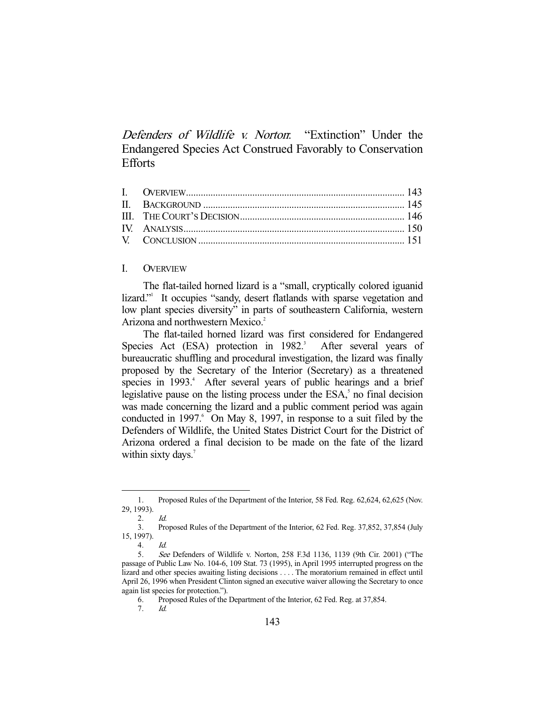Defenders of Wildlife v. Norton: "Extinction" Under the Endangered Species Act Construed Favorably to Conservation **Efforts** 

## I. OVERVIEW

 The flat-tailed horned lizard is a "small, cryptically colored iguanid lizard."<sup>1</sup> It occupies "sandy, desert flatlands with sparse vegetation and low plant species diversity" in parts of southeastern California, western Arizona and northwestern Mexico.<sup>2</sup>

 The flat-tailed horned lizard was first considered for Endangered Species Act (ESA) protection in 1982.<sup>3</sup> After several years of bureaucratic shuffling and procedural investigation, the lizard was finally proposed by the Secretary of the Interior (Secretary) as a threatened species in 1993.<sup>4</sup> After several years of public hearings and a brief legislative pause on the listing process under the  $ESA<sub>2</sub><sup>5</sup>$  no final decision was made concerning the lizard and a public comment period was again conducted in 1997. <sup>6</sup> On May 8, 1997, in response to a suit filed by the Defenders of Wildlife, the United States District Court for the District of Arizona ordered a final decision to be made on the fate of the lizard within sixty days. $7$ 

 <sup>1.</sup> Proposed Rules of the Department of the Interior, 58 Fed. Reg. 62,624, 62,625 (Nov. 29, 1993).

 $2 \frac{1}{d}$ 

 <sup>3.</sup> Proposed Rules of the Department of the Interior, 62 Fed. Reg. 37,852, 37,854 (July 15, 1997).

 <sup>4.</sup> Id.

 <sup>5.</sup> See Defenders of Wildlife v. Norton, 258 F.3d 1136, 1139 (9th Cir. 2001) ("The passage of Public Law No. 104-6, 109 Stat. 73 (1995), in April 1995 interrupted progress on the lizard and other species awaiting listing decisions . . . . The moratorium remained in effect until April 26, 1996 when President Clinton signed an executive waiver allowing the Secretary to once again list species for protection.").

 <sup>6.</sup> Proposed Rules of the Department of the Interior, 62 Fed. Reg. at 37,854.

 <sup>7.</sup> Id.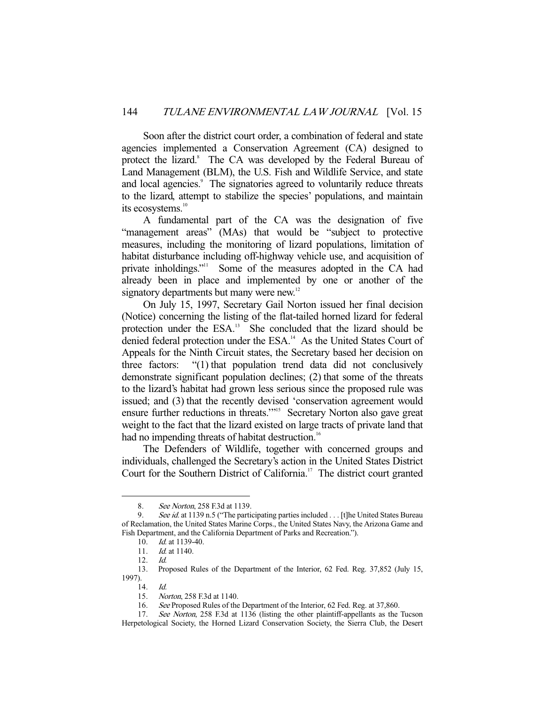Soon after the district court order, a combination of federal and state agencies implemented a Conservation Agreement (CA) designed to protect the lizard.<sup>8</sup> The CA was developed by the Federal Bureau of Land Management (BLM), the U.S. Fish and Wildlife Service, and state and local agencies.<sup>9</sup> The signatories agreed to voluntarily reduce threats to the lizard, attempt to stabilize the species' populations, and maintain its ecosystems.<sup>10</sup>

 A fundamental part of the CA was the designation of five "management areas" (MAs) that would be "subject to protective measures, including the monitoring of lizard populations, limitation of habitat disturbance including off-highway vehicle use, and acquisition of private inholdings."<sup>11</sup> Some of the measures adopted in the CA had already been in place and implemented by one or another of the signatory departments but many were new.<sup>12</sup>

 On July 15, 1997, Secretary Gail Norton issued her final decision (Notice) concerning the listing of the flat-tailed horned lizard for federal protection under the ESA.<sup>13</sup> She concluded that the lizard should be denied federal protection under the ESA.<sup>14</sup> As the United States Court of Appeals for the Ninth Circuit states, the Secretary based her decision on three factors: "(1) that population trend data did not conclusively demonstrate significant population declines; (2) that some of the threats to the lizard's habitat had grown less serious since the proposed rule was issued; and (3) that the recently devised 'conservation agreement would ensure further reductions in threats."<sup>15</sup> Secretary Norton also gave great weight to the fact that the lizard existed on large tracts of private land that had no impending threats of habitat destruction.<sup>16</sup>

 The Defenders of Wildlife, together with concerned groups and individuals, challenged the Secretary's action in the United States District Court for the Southern District of California.<sup>17</sup> The district court granted

<sup>8.</sup> See Norton, 258 F.3d at 1139.

<sup>9.</sup> See id. at 1139 n.5 ("The participating parties included . . . [t]he United States Bureau of Reclamation, the United States Marine Corps., the United States Navy, the Arizona Game and Fish Department, and the California Department of Parks and Recreation.").

<sup>10.</sup> *Id.* at 1139-40.

<sup>11.</sup> *Id.* at 1140.

 <sup>12.</sup> Id.

 <sup>13.</sup> Proposed Rules of the Department of the Interior, 62 Fed. Reg. 37,852 (July 15, 1997).

 <sup>14.</sup> Id.

 <sup>15.</sup> Norton, 258 F.3d at 1140.

 <sup>16.</sup> See Proposed Rules of the Department of the Interior, 62 Fed. Reg. at 37,860.

<sup>17.</sup> See Norton, 258 F.3d at 1136 (listing the other plaintiff-appellants as the Tucson Herpetological Society, the Horned Lizard Conservation Society, the Sierra Club, the Desert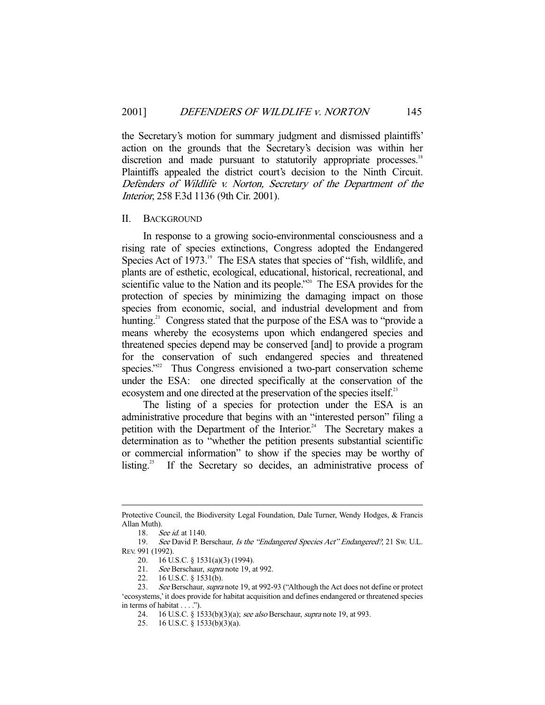the Secretary's motion for summary judgment and dismissed plaintiffs' action on the grounds that the Secretary's decision was within her discretion and made pursuant to statutorily appropriate processes.<sup>18</sup> Plaintiffs appealed the district court's decision to the Ninth Circuit. Defenders of Wildlife v. Norton, Secretary of the Department of the Interior, 258 F.3d 1136 (9th Cir. 2001).

### II. BACKGROUND

 In response to a growing socio-environmental consciousness and a rising rate of species extinctions, Congress adopted the Endangered Species Act of 1973.<sup>19</sup> The ESA states that species of "fish, wildlife, and plants are of esthetic, ecological, educational, historical, recreational, and scientific value to the Nation and its people.<sup>220</sup> The ESA provides for the protection of species by minimizing the damaging impact on those species from economic, social, and industrial development and from hunting.<sup>21</sup> Congress stated that the purpose of the ESA was to "provide a means whereby the ecosystems upon which endangered species and threatened species depend may be conserved [and] to provide a program for the conservation of such endangered species and threatened species."<sup>22</sup> Thus Congress envisioned a two-part conservation scheme under the ESA: one directed specifically at the conservation of the ecosystem and one directed at the preservation of the species itself.<sup>23</sup>

 The listing of a species for protection under the ESA is an administrative procedure that begins with an "interested person" filing a petition with the Department of the Interior.<sup>24</sup> The Secretary makes a determination as to "whether the petition presents substantial scientific or commercial information" to show if the species may be worthy of listing.<sup>25</sup> If the Secretary so decides, an administrative process of

Protective Council, the Biodiversity Legal Foundation, Dale Turner, Wendy Hodges, & Francis Allan Muth).

<sup>18.</sup> See id. at 1140.

<sup>19.</sup> See David P. Berschaur, Is the "Endangered Species Act" Endangered?, 21 Sw. U.L. REV. 991 (1992).

 <sup>20. 16</sup> U.S.C. § 1531(a)(3) (1994).

<sup>21.</sup> *See* Berschaur, *supra* note 19, at 992.

 <sup>22. 16</sup> U.S.C. § 1531(b).

<sup>23.</sup> See Berschaur, *supra* note 19, at 992-93 ("Although the Act does not define or protect 'ecosystems,' it does provide for habitat acquisition and defines endangered or threatened species in terms of habitat . . . .").

<sup>24. 16</sup> U.S.C. § 1533(b)(3)(a); see also Berschaur, supra note 19, at 993.

 <sup>25. 16</sup> U.S.C. § 1533(b)(3)(a).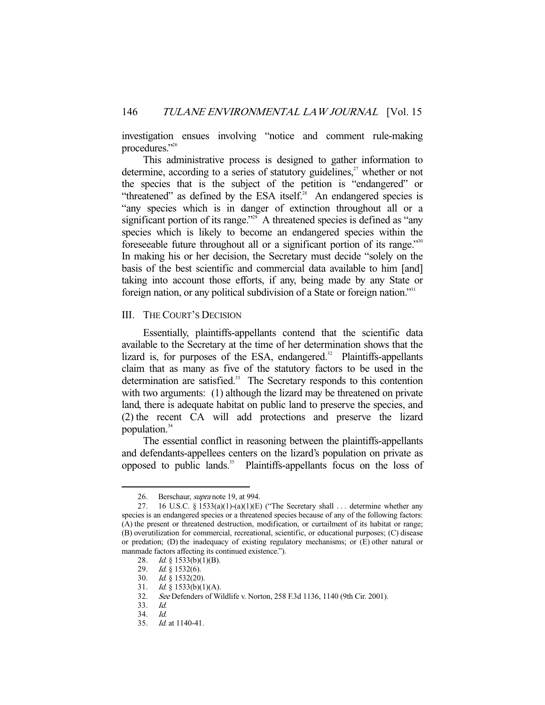investigation ensues involving "notice and comment rule-making procedures."26

 This administrative process is designed to gather information to determine, according to a series of statutory guidelines, $2^7$  whether or not the species that is the subject of the petition is "endangered" or "threatened" as defined by the ESA itself. $28$  An endangered species is "any species which is in danger of extinction throughout all or a significant portion of its range."<sup>29</sup> A threatened species is defined as "any species which is likely to become an endangered species within the foreseeable future throughout all or a significant portion of its range."<sup>30</sup> In making his or her decision, the Secretary must decide "solely on the basis of the best scientific and commercial data available to him [and] taking into account those efforts, if any, being made by any State or foreign nation, or any political subdivision of a State or foreign nation."<sup>31</sup>

## III. THE COURT'S DECISION

 Essentially, plaintiffs-appellants contend that the scientific data available to the Secretary at the time of her determination shows that the lizard is, for purposes of the ESA, endangered. $32$  Plaintiffs-appellants claim that as many as five of the statutory factors to be used in the determination are satisfied.<sup>33</sup> The Secretary responds to this contention with two arguments: (1) although the lizard may be threatened on private land, there is adequate habitat on public land to preserve the species, and (2) the recent CA will add protections and preserve the lizard population.<sup>34</sup>

 The essential conflict in reasoning between the plaintiffs-appellants and defendants-appellees centers on the lizard's population on private as opposed to public lands.<sup>35</sup> Plaintiffs-appellants focus on the loss of

<sup>26.</sup> Berschaur, *supra* note 19, at 994.

<sup>27. 16</sup> U.S.C. § 1533(a)(1)-(a)(1)(E) ("The Secretary shall ... determine whether any species is an endangered species or a threatened species because of any of the following factors: (A) the present or threatened destruction, modification, or curtailment of its habitat or range; (B) overutilization for commercial, recreational, scientific, or educational purposes; (C) disease or predation; (D) the inadequacy of existing regulatory mechanisms; or (E) other natural or manmade factors affecting its continued existence.").

<sup>28.</sup> *Id.* § 1533(b)(1)(B).

 <sup>29.</sup> Id. § 1532(6).

<sup>30.</sup> *Id.* § 1532(20).<br>31. *Id.* § 1533(b)(1 *Id.* § 1533(b)(1)(A).

 <sup>32.</sup> See Defenders of Wildlife v. Norton, 258 F.3d 1136, 1140 (9th Cir. 2001).

 <sup>33.</sup> Id.

 <sup>34.</sup> Id.

 <sup>35.</sup> Id. at 1140-41.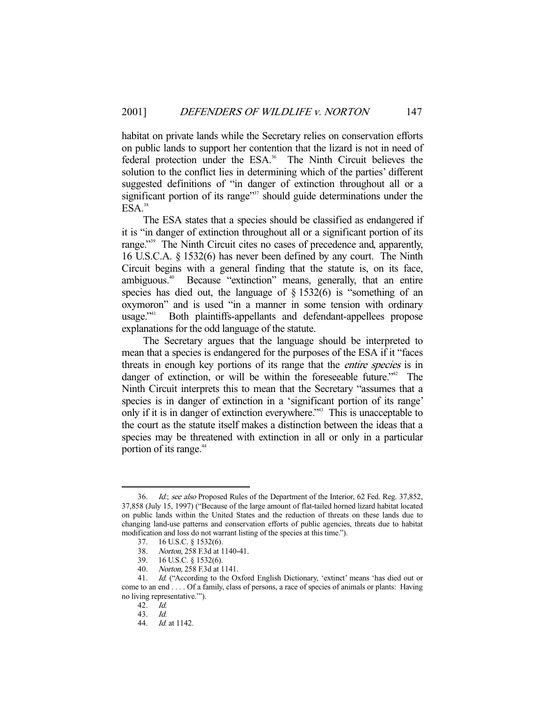habitat on private lands while the Secretary relies on conservation efforts on public lands to support her contention that the lizard is not in need of federal protection under the ESA.<sup>36</sup> The Ninth Circuit believes the solution to the conflict lies in determining which of the parties' different suggested definitions of "in danger of extinction throughout all or a significant portion of its range $\mathbb{S}^{37}$  should guide determinations under the  $ESA.<sup>38</sup>$ 

 The ESA states that a species should be classified as endangered if it is "in danger of extinction throughout all or a significant portion of its range."<sup>39</sup> The Ninth Circuit cites no cases of precedence and, apparently, 16 U.S.C.A. § 1532(6) has never been defined by any court. The Ninth Circuit begins with a general finding that the statute is, on its face, ambiguous.40 Because "extinction" means, generally, that an entire species has died out, the language of  $\S 1532(6)$  is "something of an oxymoron" and is used "in a manner in some tension with ordinary usage."41 Both plaintiffs-appellants and defendant-appellees propose explanations for the odd language of the statute.

 The Secretary argues that the language should be interpreted to mean that a species is endangered for the purposes of the ESA if it "faces threats in enough key portions of its range that the entire species is in danger of extinction, or will be within the foreseeable future.<sup>742</sup> The Ninth Circuit interprets this to mean that the Secretary "assumes that a species is in danger of extinction in a 'significant portion of its range' only if it is in danger of extinction everywhere."43 This is unacceptable to the court as the statute itself makes a distinction between the ideas that a species may be threatened with extinction in all or only in a particular portion of its range.<sup>44</sup>

<sup>36.</sup> Id.; see also Proposed Rules of the Department of the Interior, 62 Fed. Reg. 37,852, 37,858 (July 15, 1997) ("Because of the large amount of flat-tailed horned lizard habitat located on public lands within the United States and the reduction of threats on these lands due to changing land-use patterns and conservation efforts of public agencies, threats due to habitat modification and loss do not warrant listing of the species at this time.").

 <sup>37. 16</sup> U.S.C. § 1532(6).

<sup>38.</sup> *Norton*, 258 F.3d at 1140-41.<br>39. 16 U.S.C. § 1532(6).

<sup>16</sup> U.S.C. § 1532(6).

 <sup>40.</sup> Norton, 258 F.3d at 1141.

 <sup>41.</sup> Id. ("According to the Oxford English Dictionary, 'extinct' means 'has died out or come to an end . . . . Of a family, class of persons, a race of species of animals or plants: Having no living representative.'").

 <sup>42.</sup> Id.

 <sup>43.</sup> Id.

<sup>44.</sup> *Id.* at 1142.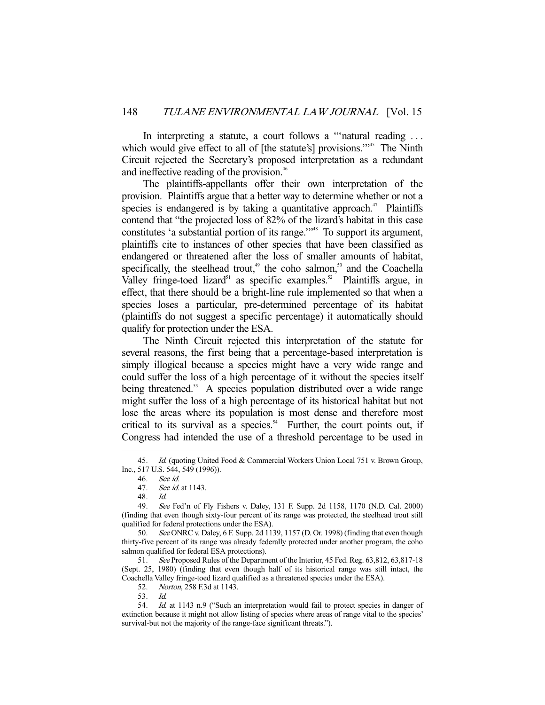In interpreting a statute, a court follows a "'natural reading . . . which would give effect to all of [the statute's] provisions."<sup>45</sup> The Ninth Circuit rejected the Secretary's proposed interpretation as a redundant and ineffective reading of the provision.<sup>46</sup>

 The plaintiffs-appellants offer their own interpretation of the provision. Plaintiffs argue that a better way to determine whether or not a species is endangered is by taking a quantitative approach.<sup>47</sup> Plaintiffs contend that "the projected loss of 82% of the lizard's habitat in this case constitutes 'a substantial portion of its range."<sup>48</sup> To support its argument, plaintiffs cite to instances of other species that have been classified as endangered or threatened after the loss of smaller amounts of habitat, specifically, the steelhead trout,<sup>49</sup> the coho salmon,<sup>50</sup> and the Coachella Valley fringe-toed lizard<sup>51</sup> as specific examples.<sup>52</sup> Plaintiffs argue, in effect, that there should be a bright-line rule implemented so that when a species loses a particular, pre-determined percentage of its habitat (plaintiffs do not suggest a specific percentage) it automatically should qualify for protection under the ESA.

 The Ninth Circuit rejected this interpretation of the statute for several reasons, the first being that a percentage-based interpretation is simply illogical because a species might have a very wide range and could suffer the loss of a high percentage of it without the species itself being threatened.<sup>53</sup> A species population distributed over a wide range might suffer the loss of a high percentage of its historical habitat but not lose the areas where its population is most dense and therefore most critical to its survival as a species.<sup>54</sup> Further, the court points out, if Congress had intended the use of a threshold percentage to be used in

 <sup>45.</sup> Id. (quoting United Food & Commercial Workers Union Local 751 v. Brown Group, Inc., 517 U.S. 544, 549 (1996)).

 <sup>46.</sup> See id.

<sup>47.</sup> *See id.* at 1143.

 <sup>48.</sup> Id.

 <sup>49.</sup> See Fed'n of Fly Fishers v. Daley, 131 F. Supp. 2d 1158, 1170 (N.D. Cal. 2000) (finding that even though sixty-four percent of its range was protected, the steelhead trout still qualified for federal protections under the ESA).

<sup>50.</sup> See ONRC v. Daley, 6 F. Supp. 2d 1139, 1157 (D. Or. 1998) (finding that even though thirty-five percent of its range was already federally protected under another program, the coho salmon qualified for federal ESA protections).

 <sup>51.</sup> See Proposed Rules of the Department of the Interior, 45 Fed. Reg. 63,812, 63,817-18 (Sept. 25, 1980) (finding that even though half of its historical range was still intact, the Coachella Valley fringe-toed lizard qualified as a threatened species under the ESA).

 <sup>52.</sup> Norton, 258 F.3d at 1143.

 <sup>53.</sup> Id.

<sup>54.</sup> Id. at 1143 n.9 ("Such an interpretation would fail to protect species in danger of extinction because it might not allow listing of species where areas of range vital to the species' survival-but not the majority of the range-face significant threats.").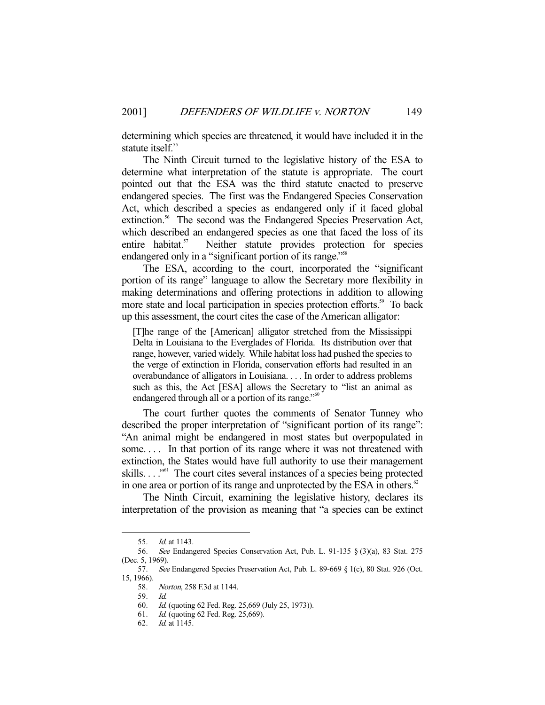determining which species are threatened, it would have included it in the statute itself.<sup>55</sup>

 The Ninth Circuit turned to the legislative history of the ESA to determine what interpretation of the statute is appropriate. The court pointed out that the ESA was the third statute enacted to preserve endangered species. The first was the Endangered Species Conservation Act, which described a species as endangered only if it faced global extinction.<sup>56</sup> The second was the Endangered Species Preservation Act, which described an endangered species as one that faced the loss of its entire habitat.<sup>57</sup> Neither statute provides protection for species endangered only in a "significant portion of its range."<sup>58</sup>

 The ESA, according to the court, incorporated the "significant portion of its range" language to allow the Secretary more flexibility in making determinations and offering protections in addition to allowing more state and local participation in species protection efforts.<sup>59</sup> To back up this assessment, the court cites the case of the American alligator:

[T]he range of the [American] alligator stretched from the Mississippi Delta in Louisiana to the Everglades of Florida. Its distribution over that range, however, varied widely. While habitat loss had pushed the species to the verge of extinction in Florida, conservation efforts had resulted in an overabundance of alligators in Louisiana. . . . In order to address problems such as this, the Act [ESA] allows the Secretary to "list an animal as endangered through all or a portion of its range."<sup>60</sup>

 The court further quotes the comments of Senator Tunney who described the proper interpretation of "significant portion of its range": "An animal might be endangered in most states but overpopulated in some.... In that portion of its range where it was not threatened with extinction, the States would have full authority to use their management skills. . . . "<sup>61</sup> The court cites several instances of a species being protected in one area or portion of its range and unprotected by the ESA in others.<sup>62</sup>

 The Ninth Circuit, examining the legislative history, declares its interpretation of the provision as meaning that "a species can be extinct

 <sup>55.</sup> Id. at 1143.

 <sup>56.</sup> See Endangered Species Conservation Act, Pub. L. 91-135 § (3)(a), 83 Stat. 275 (Dec. 5, 1969).

 <sup>57.</sup> See Endangered Species Preservation Act, Pub. L. 89-669 § 1(c), 80 Stat. 926 (Oct. 15, 1966).

 <sup>58.</sup> Norton, 258 F.3d at 1144.

 <sup>59.</sup> Id.

 <sup>60.</sup> Id. (quoting 62 Fed. Reg. 25,669 (July 25, 1973)).

 <sup>61.</sup> Id. (quoting 62 Fed. Reg. 25,669).

 <sup>62.</sup> Id. at 1145.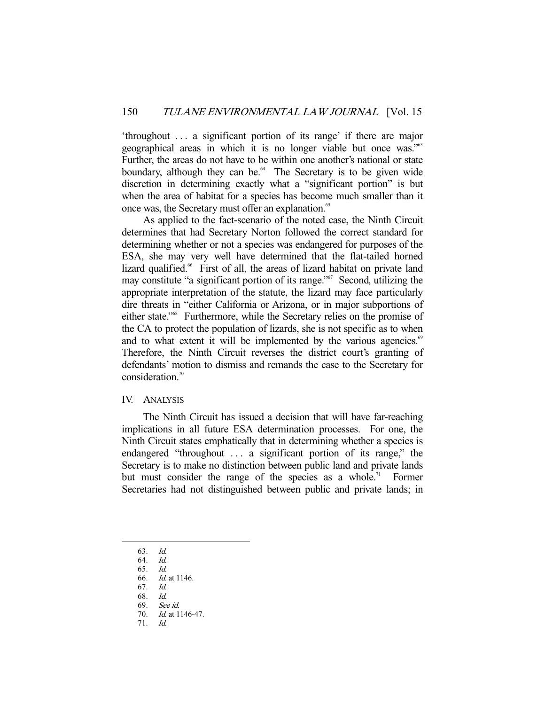'throughout . . . a significant portion of its range' if there are major geographical areas in which it is no longer viable but once was."63 Further, the areas do not have to be within one another's national or state boundary, although they can be.<sup> $64$ </sup> The Secretary is to be given wide discretion in determining exactly what a "significant portion" is but when the area of habitat for a species has become much smaller than it once was, the Secretary must offer an explanation.<sup>65</sup>

 As applied to the fact-scenario of the noted case, the Ninth Circuit determines that had Secretary Norton followed the correct standard for determining whether or not a species was endangered for purposes of the ESA, she may very well have determined that the flat-tailed horned lizard qualified.<sup>66</sup> First of all, the areas of lizard habitat on private land may constitute "a significant portion of its range."<sup>67</sup> Second, utilizing the appropriate interpretation of the statute, the lizard may face particularly dire threats in "either California or Arizona, or in major subportions of either state."68 Furthermore, while the Secretary relies on the promise of the CA to protect the population of lizards, she is not specific as to when and to what extent it will be implemented by the various agencies.<sup>69</sup> Therefore, the Ninth Circuit reverses the district court's granting of defendants' motion to dismiss and remands the case to the Secretary for consideration.<sup>70</sup>

### IV. ANALYSIS

 The Ninth Circuit has issued a decision that will have far-reaching implications in all future ESA determination processes. For one, the Ninth Circuit states emphatically that in determining whether a species is endangered "throughout ... a significant portion of its range," the Secretary is to make no distinction between public land and private lands but must consider the range of the species as a whole.<sup>71</sup> Former Secretaries had not distinguished between public and private lands; in

-

71. Id.

<sup>63.</sup> *Id.*<br>64. *Id.* 

<sup>64.</sup> 

 <sup>65.</sup> Id.

 <sup>66.</sup> Id. at 1146.

 <sup>67.</sup> Id.

 <sup>68.</sup> Id.

 <sup>69.</sup> See id. 70. Id. at 1146-47.